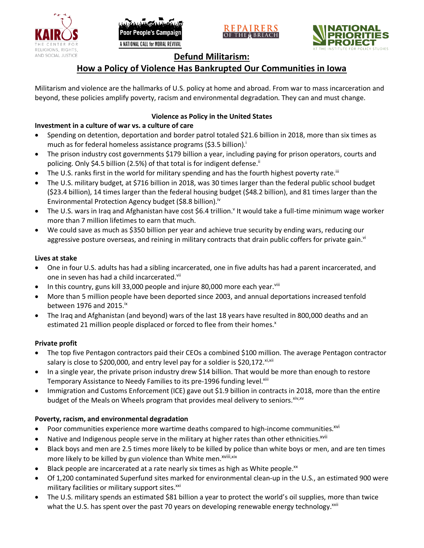





# **Defund Militarism:**

# **How a Policy of Violence Has Bankrupted Our Communities in Iowa**

Militarism and violence are the hallmarks of U.S. policy at home and abroad. From war to mass incarceration and beyond, these policies amplify poverty, racism and environmental degradation. They can and must change.

# **Violence as Policy in the United States**

# **Investment in a culture of war vs. a culture of care**

- Spending on detention, deportation and border patrol totaled \$21.6 billion in 2018, more than six times as much as for federal homeless assistance programs (\$3.5 billion).<sup>i</sup>
- The prison industry cost governments \$179 billion a year, including paying for prison operators, courts and policing. Only \$4.5 billion (2.5%) of that total is for indigent defense.<sup>ii</sup>
- The U.S. ranks first in the world for military spending and has the fourth highest poverty rate.<sup>iii</sup>
- The U.S. military budget, at \$716 billion in 2018, was 30 times larger than the federal public school budget (\$23.4 billion), 14 times larger than the federal housing budget (\$48.2 billion), and 81 times larger than the Environmental Protection Agency budget (\$8.8 billion).<sup>iv</sup>
- The U.S. wars in Iraq and Afghanistan have cost \$6.4 trillion.<sup>v</sup> It would take a full-time minimum wage worker more than 7 million lifetimes to earn that much.
- We could save as much as \$350 billion per year and achieve true security by ending wars, reducing our aggressive posture overseas, and reining in military contracts that drain public coffers for private gain.<sup>vi</sup>

### **Lives at stake**

- One in four U.S. adults has had a sibling incarcerated, one in five adults has had a parent incarcerated, and one in seven has had a child incarcerated.vii
- In this country, guns kill 33,000 people and injure 80,000 more each year. $v_{\text{lin}}$
- More than 5 million people have been deported since 2003, and annual deportations increased tenfold between 1976 and 2015. $\mathrm{i}$ <sup>x</sup>
- The Iraq and Afghanistan (and beyond) wars of the last 18 years have resulted in 800,000 deaths and an estimated 21 million people displaced or forced to flee from their homes.<sup>x</sup>

#### **Private profit**

- The top five Pentagon contractors paid their CEOs a combined \$100 million. The average Pentagon contractor salary is close to \$200,000, and entry level pay for a soldier is \$20,172. xi,xii
- In a single year, the private prison industry drew \$14 billion. That would be more than enough to restore Temporary Assistance to Needy Families to its pre-1996 funding level.<sup>xiii</sup>
- Immigration and Customs Enforcement (ICE) gave out \$1.9 billion in contracts in 2018, more than the entire budget of the Meals on Wheels program that provides meal delivery to seniors. Xiv, XV

### **Poverty, racism, and environmental degradation**

- Poor communities experience more wartime deaths compared to high-income communities.<sup>xvi</sup>
- Native and Indigenous people serve in the military at higher rates than other ethnicities.<sup>xvii</sup>
- Black boys and men are 2.5 times more likely to be killed by police than white boys or men, and are ten times more likely to be killed by gun violence than White men.<sup>xviii,xix</sup>
- Black people are incarcerated at a rate nearly six times as high as White people.<sup>xx</sup>
- Of 1,200 contaminated Superfund sites marked for environmental clean-up in the U.S., an estimated 900 were military facilities or military support sites.<sup>xxi</sup>
- The U.S. military spends an estimated \$81 billion a year to protect the world's oil supplies, more than twice what the U.S. has spent over the past 70 years on developing renewable energy technology.<sup>xxii</sup>